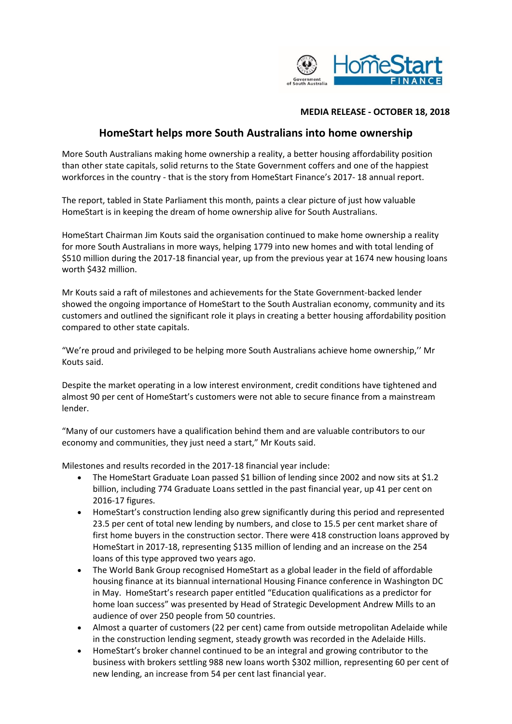

## **MEDIA RELEASE - OCTOBER 18, 2018**

## **HomeStart helps more South Australians into home ownership**

More South Australians making home ownership a reality, a better housing affordability position than other state capitals, solid returns to the State Government coffers and one of the happiest workforces in the country - that is the story from HomeStart Finance's 2017- 18 annual report.

The report, tabled in State Parliament this month, paints a clear picture of just how valuable HomeStart is in keeping the dream of home ownership alive for South Australians.

HomeStart Chairman Jim Kouts said the organisation continued to make home ownership a reality for more South Australians in more ways, helping 1779 into new homes and with total lending of \$510 million during the 2017-18 financial year, up from the previous year at 1674 new housing loans worth \$432 million.

Mr Kouts said a raft of milestones and achievements for the State Government-backed lender showed the ongoing importance of HomeStart to the South Australian economy, community and its customers and outlined the significant role it plays in creating a better housing affordability position compared to other state capitals.

"We're proud and privileged to be helping more South Australians achieve home ownership,'' Mr Kouts said.

Despite the market operating in a low interest environment, credit conditions have tightened and almost 90 per cent of HomeStart's customers were not able to secure finance from a mainstream lender.

"Many of our customers have a qualification behind them and are valuable contributors to our economy and communities, they just need a start," Mr Kouts said.

Milestones and results recorded in the 2017-18 financial year include:

- The HomeStart Graduate Loan passed \$1 billion of lending since 2002 and now sits at \$1.2 billion, including 774 Graduate Loans settled in the past financial year, up 41 per cent on 2016-17 figures.
- HomeStart's construction lending also grew significantly during this period and represented 23.5 per cent of total new lending by numbers, and close to 15.5 per cent market share of first home buyers in the construction sector. There were 418 construction loans approved by HomeStart in 2017-18, representing \$135 million of lending and an increase on the 254 loans of this type approved two years ago.
- The World Bank Group recognised HomeStart as a global leader in the field of affordable housing finance at its biannual international Housing Finance conference in Washington DC in May. HomeStart's research paper entitled "Education qualifications as a predictor for home loan success" was presented by Head of Strategic Development Andrew Mills to an audience of over 250 people from 50 countries.
- Almost a quarter of customers (22 per cent) came from outside metropolitan Adelaide while in the construction lending segment, steady growth was recorded in the Adelaide Hills.
- HomeStart's broker channel continued to be an integral and growing contributor to the business with brokers settling 988 new loans worth \$302 million, representing 60 per cent of new lending, an increase from 54 per cent last financial year.